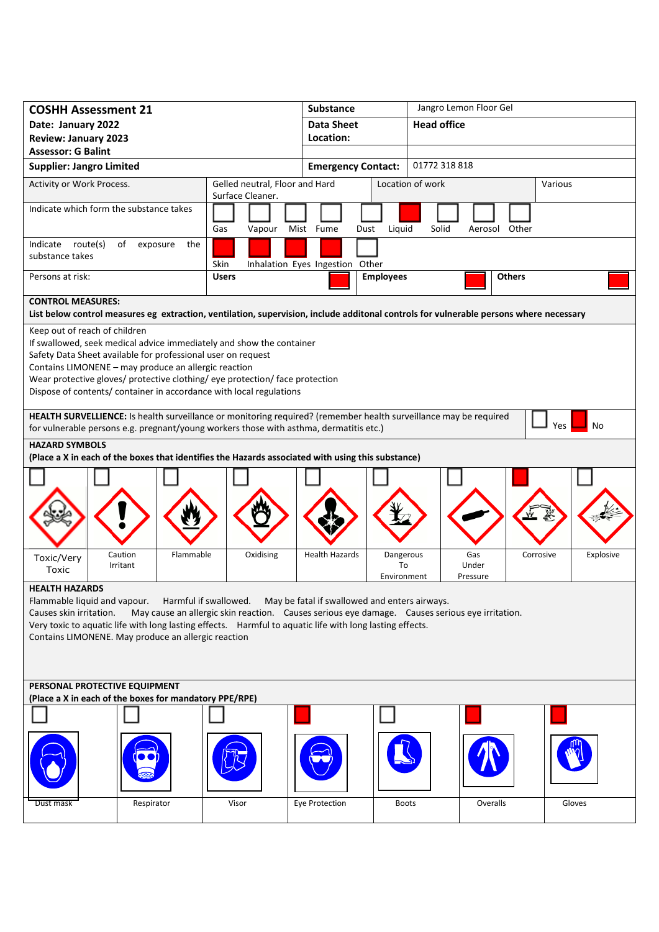| <b>COSHH Assessment 21</b>                                                                                                                                                                                               |                                                                                                | <b>Substance</b>                |                  | Jangro Lemon Floor Gel |               |                        |  |
|--------------------------------------------------------------------------------------------------------------------------------------------------------------------------------------------------------------------------|------------------------------------------------------------------------------------------------|---------------------------------|------------------|------------------------|---------------|------------------------|--|
| Date: January 2022                                                                                                                                                                                                       |                                                                                                | <b>Data Sheet</b>               |                  | <b>Head office</b>     |               |                        |  |
| <b>Review: January 2023</b>                                                                                                                                                                                              |                                                                                                | Location:                       |                  |                        |               |                        |  |
| <b>Assessor: G Balint</b>                                                                                                                                                                                                |                                                                                                |                                 |                  |                        |               |                        |  |
| <b>Supplier: Jangro Limited</b>                                                                                                                                                                                          |                                                                                                | <b>Emergency Contact:</b>       |                  | 01772 318 818          |               |                        |  |
| Activity or Work Process.                                                                                                                                                                                                | Gelled neutral, Floor and Hard<br>Surface Cleaner.                                             |                                 |                  | Location of work       |               | Various                |  |
| Indicate which form the substance takes                                                                                                                                                                                  |                                                                                                |                                 |                  |                        |               |                        |  |
|                                                                                                                                                                                                                          | Gas<br>Vapour                                                                                  | Mist Fume<br>Dust               | Liquid           | Solid                  | Aerosol Other |                        |  |
| Indicate route(s)<br>of<br>the<br>exposure<br>substance takes                                                                                                                                                            | Skin                                                                                           | Inhalation Eyes Ingestion Other |                  |                        |               |                        |  |
| Persons at risk:                                                                                                                                                                                                         | <b>Users</b>                                                                                   |                                 | <b>Employees</b> |                        | <b>Others</b> |                        |  |
| <b>CONTROL MEASURES:</b>                                                                                                                                                                                                 |                                                                                                |                                 |                  |                        |               |                        |  |
| List below control measures eg extraction, ventilation, supervision, include additonal controls for vulnerable persons where necessary                                                                                   |                                                                                                |                                 |                  |                        |               |                        |  |
| Keep out of reach of children                                                                                                                                                                                            |                                                                                                |                                 |                  |                        |               |                        |  |
| If swallowed, seek medical advice immediately and show the container                                                                                                                                                     |                                                                                                |                                 |                  |                        |               |                        |  |
| Safety Data Sheet available for professional user on request                                                                                                                                                             |                                                                                                |                                 |                  |                        |               |                        |  |
| Contains LIMONENE - may produce an allergic reaction                                                                                                                                                                     |                                                                                                |                                 |                  |                        |               |                        |  |
| Wear protective gloves/ protective clothing/ eye protection/ face protection                                                                                                                                             |                                                                                                |                                 |                  |                        |               |                        |  |
| Dispose of contents/ container in accordance with local regulations                                                                                                                                                      |                                                                                                |                                 |                  |                        |               |                        |  |
| HEALTH SURVELLIENCE: Is health surveillance or monitoring required? (remember health surveillance may be required<br>No<br>Yes<br>for vulnerable persons e.g. pregnant/young workers those with asthma, dermatitis etc.) |                                                                                                |                                 |                  |                        |               |                        |  |
| <b>HAZARD SYMBOLS</b>                                                                                                                                                                                                    |                                                                                                |                                 |                  |                        |               |                        |  |
| (Place a X in each of the boxes that identifies the Hazards associated with using this substance)                                                                                                                        |                                                                                                |                                 |                  |                        |               |                        |  |
|                                                                                                                                                                                                                          |                                                                                                |                                 |                  |                        |               |                        |  |
|                                                                                                                                                                                                                          |                                                                                                |                                 |                  |                        |               |                        |  |
|                                                                                                                                                                                                                          |                                                                                                |                                 |                  |                        |               |                        |  |
|                                                                                                                                                                                                                          |                                                                                                |                                 |                  |                        |               |                        |  |
|                                                                                                                                                                                                                          |                                                                                                |                                 |                  |                        |               |                        |  |
| Caution<br>Flammable                                                                                                                                                                                                     | Oxidising                                                                                      | <b>Health Hazards</b>           | Dangerous        |                        | Gas           | Corrosive<br>Explosive |  |
| Toxic/Very<br>Irritant<br>Toxic                                                                                                                                                                                          |                                                                                                |                                 | To               | Under                  |               |                        |  |
|                                                                                                                                                                                                                          |                                                                                                |                                 | Environment      | Pressure               |               |                        |  |
| <b>HEALTH HAZARDS</b>                                                                                                                                                                                                    |                                                                                                |                                 |                  |                        |               |                        |  |
| Flammable liquid and vapour.<br>Causes skin irritation.                                                                                                                                                                  | Harmful if swallowed. May be fatal if swallowed and enters airways.                            |                                 |                  |                        |               |                        |  |
| Very toxic to aquatic life with long lasting effects. Harmful to aquatic life with long lasting effects.                                                                                                                 | May cause an allergic skin reaction. Causes serious eye damage. Causes serious eye irritation. |                                 |                  |                        |               |                        |  |
| Contains LIMONENE. May produce an allergic reaction                                                                                                                                                                      |                                                                                                |                                 |                  |                        |               |                        |  |
|                                                                                                                                                                                                                          |                                                                                                |                                 |                  |                        |               |                        |  |
|                                                                                                                                                                                                                          |                                                                                                |                                 |                  |                        |               |                        |  |
|                                                                                                                                                                                                                          |                                                                                                |                                 |                  |                        |               |                        |  |
| PERSONAL PROTECTIVE EQUIPMENT                                                                                                                                                                                            |                                                                                                |                                 |                  |                        |               |                        |  |
| (Place a X in each of the boxes for mandatory PPE/RPE)                                                                                                                                                                   |                                                                                                |                                 |                  |                        |               |                        |  |
|                                                                                                                                                                                                                          |                                                                                                |                                 |                  |                        |               |                        |  |
|                                                                                                                                                                                                                          |                                                                                                |                                 |                  |                        |               |                        |  |
|                                                                                                                                                                                                                          |                                                                                                |                                 |                  |                        |               |                        |  |
|                                                                                                                                                                                                                          |                                                                                                |                                 |                  |                        |               |                        |  |
|                                                                                                                                                                                                                          |                                                                                                |                                 |                  |                        |               |                        |  |
|                                                                                                                                                                                                                          |                                                                                                |                                 |                  |                        |               |                        |  |
| Respirator<br>Dust mask                                                                                                                                                                                                  | Visor                                                                                          | Eye Protection                  | <b>Boots</b>     |                        | Overalls      | Gloves                 |  |
|                                                                                                                                                                                                                          |                                                                                                |                                 |                  |                        |               |                        |  |